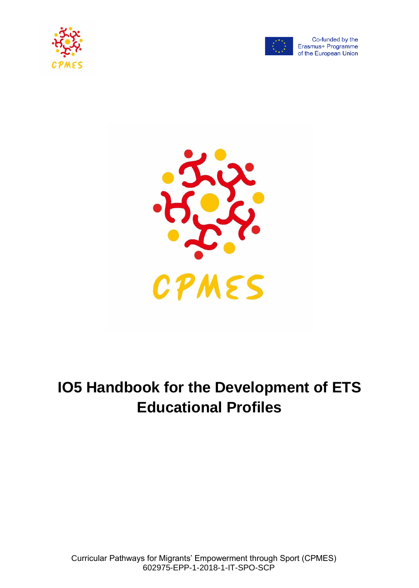



Co-funded by the Erasmus+ Programme of the European Union



# **IO5 Handbook for the Development of ETS Educational Profiles**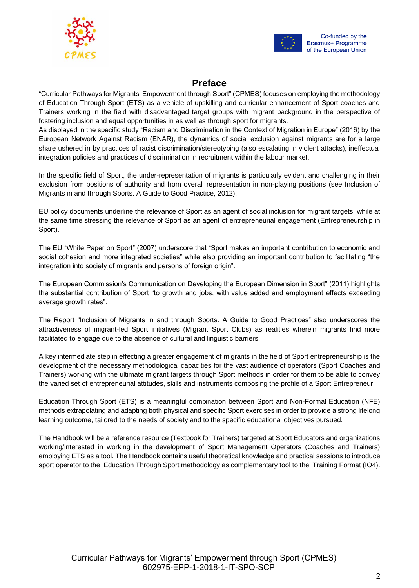



# **Preface**

"Curricular Pathways for Migrants' Empowerment through Sport" (CPMES) focuses on employing the methodology of Education Through Sport (ETS) as a vehicle of upskilling and curricular enhancement of Sport coaches and Trainers working in the field with disadvantaged target groups with migrant background in the perspective of fostering inclusion and equal opportunities in as well as through sport for migrants.

As displayed in the specific study "Racism and Discrimination in the Context of Migration in Europe" (2016) by the European Network Against Racism (ENAR), the dynamics of social exclusion against migrants are for a large share ushered in by practices of racist discrimination/stereotyping (also escalating in violent attacks), ineffectual integration policies and practices of discrimination in recruitment within the labour market.

In the specific field of Sport, the under-representation of migrants is particularly evident and challenging in their exclusion from positions of authority and from overall representation in non-playing positions (see Inclusion of Migrants in and through Sports. A Guide to Good Practice, 2012).

EU policy documents underline the relevance of Sport as an agent of social inclusion for migrant targets, while at the same time stressing the relevance of Sport as an agent of entrepreneurial engagement (Entrepreneurship in Sport).

The EU "White Paper on Sport" (2007) underscore that "Sport makes an important contribution to economic and social cohesion and more integrated societies" while also providing an important contribution to facilitating "the integration into society of migrants and persons of foreign origin".

The European Commission's Communication on Developing the European Dimension in Sport" (2011) highlights the substantial contribution of Sport "to growth and jobs, with value added and employment effects exceeding average growth rates".

The Report "Inclusion of Migrants in and through Sports. A Guide to Good Practices" also underscores the attractiveness of migrant-led Sport initiatives (Migrant Sport Clubs) as realities wherein migrants find more facilitated to engage due to the absence of cultural and linguistic barriers.

A key intermediate step in effecting a greater engagement of migrants in the field of Sport entrepreneurship is the development of the necessary methodological capacities for the vast audience of operators (Sport Coaches and Trainers) working with the ultimate migrant targets through Sport methods in order for them to be able to convey the varied set of entrepreneurial attitudes, skills and instruments composing the profile of a Sport Entrepreneur.

Education Through Sport (ETS) is a meaningful combination between Sport and Non-Formal Education (NFE) methods extrapolating and adapting both physical and specific Sport exercises in order to provide a strong lifelong learning outcome, tailored to the needs of society and to the specific educational objectives pursued.

The Handbook will be a reference resource (Textbook for Trainers) targeted at Sport Educators and organizations working/interested in working in the development of Sport Management Operators (Coaches and Trainers) employing ETS as a tool. The Handbook contains useful theoretical knowledge and practical sessions to introduce sport operator to the Education Through Sport methodology as complementary tool to the Training Format (IO4).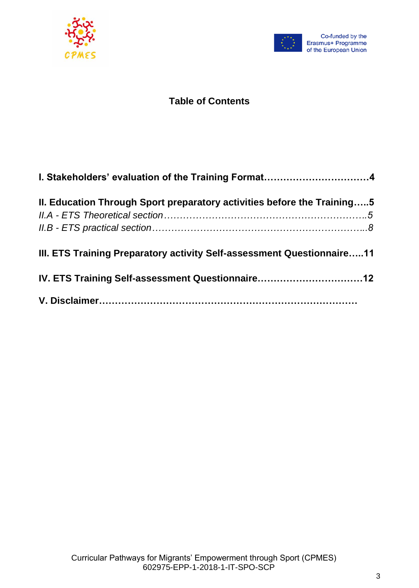



# **Table of Contents**

| II. Education Through Sport preparatory activities before the Training5 |  |
|-------------------------------------------------------------------------|--|
|                                                                         |  |
|                                                                         |  |
| III. ETS Training Preparatory activity Self-assessment Questionnaire11  |  |
| IV. ETS Training Self-assessment Questionnaire12                        |  |
|                                                                         |  |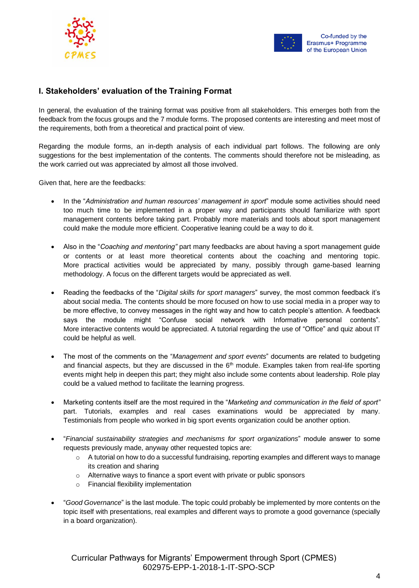



## **I. Stakeholders' evaluation of the Training Format**

In general, the evaluation of the training format was positive from all stakeholders. This emerges both from the feedback from the focus groups and the 7 module forms. The proposed contents are interesting and meet most of the requirements, both from a theoretical and practical point of view.

Regarding the module forms, an in-depth analysis of each individual part follows. The following are only suggestions for the best implementation of the contents. The comments should therefore not be misleading, as the work carried out was appreciated by almost all those involved.

Given that, here are the feedbacks:

- In the "*Administration and human resources' management in sport*" module some activities should need too much time to be implemented in a proper way and participants should familiarize with sport management contents before taking part. Probably more materials and tools about sport management could make the module more efficient. Cooperative leaning could be a way to do it.
- Also in the "*Coaching and mentoring"* part many feedbacks are about having a sport management guide or contents or at least more theoretical contents about the coaching and mentoring topic. More practical activities would be appreciated by many, possibly through game-based learning methodology. A focus on the different targets would be appreciated as well.
- Reading the feedbacks of the "*Digital skills for sport managers*" survey, the most common feedback it's about social media. The contents should be more focused on how to use social media in a proper way to be more effective, to convey messages in the right way and how to catch people's attention. A feedback says the module might "Confuse social network with Informative personal contents". More interactive contents would be appreciated. A tutorial regarding the use of "Office" and quiz about IT could be helpful as well.
- The most of the comments on the "*Management and sport events*" documents are related to budgeting and financial aspects, but they are discussed in the  $6<sup>th</sup>$  module. Examples taken from real-life sporting events might help in deepen this part; they might also include some contents about leadership. Role play could be a valued method to facilitate the learning progress.
- Marketing contents itself are the most required in the "*Marketing and communication in the field of sport"* part. Tutorials, examples and real cases examinations would be appreciated by many. Testimonials from people who worked in big sport events organization could be another option.
- "*Financial sustainability strategies and mechanisms for sport organizations*" module answer to some requests previously made, anyway other requested topics are:
	- $\circ$  A tutorial on how to do a successful fundraising, reporting examples and different ways to manage its creation and sharing
	- o Alternative ways to finance a sport event with private or public sponsors
	- o Financial flexibility implementation
- "*Good Governance*" is the last module. The topic could probably be implemented by more contents on the topic itself with presentations, real examples and different ways to promote a good governance (specially in a board organization).

Curricular Pathways for Migrants' Empowerment through Sport (CPMES) 602975-EPP-1-2018-1-IT-SPO-SCP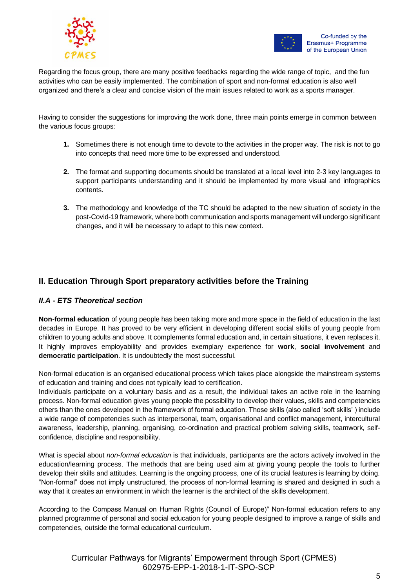



Regarding the focus group, there are many positive feedbacks regarding the wide range of topic, and the fun activities who can be easily implemented. The combination of sport and non-formal education is also well organized and there's a clear and concise vision of the main issues related to work as a sports manager.

Having to consider the suggestions for improving the work done, three main points emerge in common between the various focus groups:

- **1.** Sometimes there is not enough time to devote to the activities in the proper way. The risk is not to go into concepts that need more time to be expressed and understood.
- **2.** The format and supporting documents should be translated at a local level into 2-3 key languages to support participants understanding and it should be implemented by more visual and infographics contents.
- **3.** The methodology and knowledge of the TC should be adapted to the new situation of society in the post-Covid-19 framework, where both communication and sports management will undergo significant changes, and it will be necessary to adapt to this new context.

## **II. Education Through Sport preparatory activities before the Training**

#### *II.A - ETS Theoretical section*

**Non-formal education** of young people has been taking more and more space in the field of education in the last decades in Europe. It has proved to be very efficient in developing different social skills of young people from children to young adults and above. It complements formal education and, in certain situations, it even replaces it. It highly improves employability and provides exemplary experience for **work**, **social involvement** and **democratic participation**. It is undoubtedly the most successful.

Non-formal education is an organised educational process which takes place alongside the mainstream systems of education and training and does not typically lead to certification.

Individuals participate on a voluntary basis and as a result, the individual takes an active role in the learning process. Non-formal education gives young people the possibility to develop their values, skills and competencies others than the ones developed in the framework of formal education. Those skills (also called 'soft skills' ) include a wide range of competencies such as interpersonal, team, organisational and conflict management, intercultural awareness, leadership, planning, organising, co-ordination and practical problem solving skills, teamwork, selfconfidence, discipline and responsibility.

What is special about *non-formal education* is that individuals, participants are the actors actively involved in the education/learning process. The methods that are being used aim at giving young people the tools to further develop their skills and attitudes. Learning is the ongoing process, one of its crucial features is learning by doing. "Non-formal" does not imply unstructured, the process of non-formal learning is shared and designed in such a way that it creates an environment in which the learner is the architect of the skills development.

According to the Compass Manual on Human Rights (Council of Europe)" Non-formal education refers to any planned programme of personal and social education for young people designed to improve a range of skills and competencies, outside the formal educational curriculum.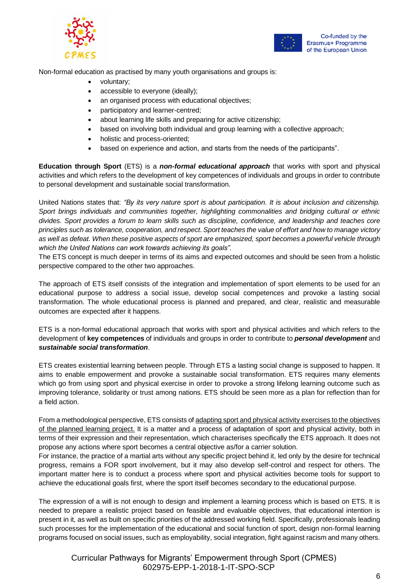



Non-formal education as practised by many youth organisations and groups is:

- voluntary;
- accessible to everyone (ideally);
- an organised process with educational objectives;
- participatory and learner-centred;
- about learning life skills and preparing for active citizenship;
- based on involving both individual and group learning with a collective approach;
- holistic and process-oriented;
- based on experience and action, and starts from the needs of the participants".

**Education through Sport** (ETS) is a *non-formal educational approach* that works with sport and physical activities and which refers to the development of key competences of individuals and groups in order to contribute to personal development and sustainable social transformation.

United Nations states that: *"By its very nature sport is about participation. It is about inclusion and citizenship. Sport brings individuals and communities together, highlighting commonalities and bridging cultural or ethnic divides. Sport provides a forum to learn skills such as discipline, confidence, and leadership and teaches core principles such as tolerance, cooperation, and respect. Sport teaches the value of effort and how to manage victory as well as defeat. When these positive aspects of sport are emphasized, sport becomes a powerful vehicle through which the United Nations can work towards achieving its goals".*

The ETS concept is much deeper in terms of its aims and expected outcomes and should be seen from a holistic perspective compared to the other two approaches.

The approach of ETS itself consists of the integration and implementation of sport elements to be used for an educational purpose to address a social issue, develop social competences and provoke a lasting social transformation. The whole educational process is planned and prepared, and clear, realistic and measurable outcomes are expected after it happens.

ETS is a non-formal educational approach that works with sport and physical activities and which refers to the development of **key competences** of individuals and groups in order to contribute to *personal development* and *sustainable social transformation*.

ETS creates existential learning between people. Through ETS a lasting social change is supposed to happen. It aims to enable empowerment and provoke a sustainable social transformation. ETS requires many elements which go from using sport and physical exercise in order to provoke a strong lifelong learning outcome such as improving tolerance, solidarity or trust among nations. ETS should be seen more as a plan for reflection than for a field action.

From a methodological perspective, ETS consists of adapting sport and physical activity exercises to the objectives of the planned learning project. It is a matter and a process of adaptation of sport and physical activity, both in terms of their expression and their representation, which characterises specifically the ETS approach. It does not propose any actions where sport becomes a central objective as/for a carrier solution.

For instance, the practice of a martial arts without any specific project behind it, led only by the desire for technical progress, remains a FOR sport involvement, but it may also develop self-control and respect for others. The important matter here is to conduct a process where sport and physical activities become tools for support to achieve the educational goals first, where the sport itself becomes secondary to the educational purpose.

The expression of a will is not enough to design and implement a learning process which is based on ETS. It is needed to prepare a realistic project based on feasible and evaluable objectives, that educational intention is present in it, as well as built on specific priorities of the addressed working field. Specifically, professionals leading such processes for the implementation of the educational and social function of sport, design non-formal learning programs focused on social issues, such as employability, social integration, fight against racism and many others.

Curricular Pathways for Migrants' Empowerment through Sport (CPMES) 602975-EPP-1-2018-1-IT-SPO-SCP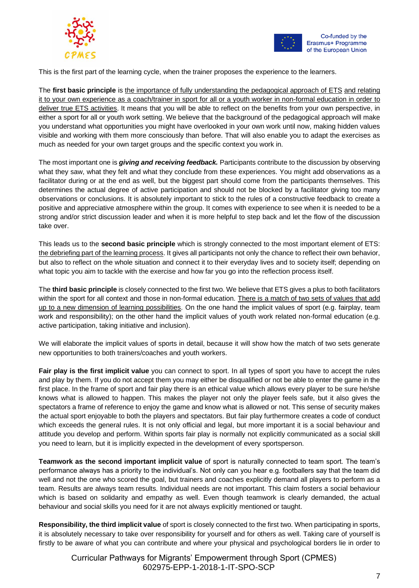



This is the first part of the learning cycle, when the trainer proposes the experience to the learners.

The **first basic principle** is the importance of fully understanding the pedagogical approach of ETS and relating it to your own experience as a coach/trainer in sport for all or a youth worker in non-formal education in order to deliver true ETS activities. It means that you will be able to reflect on the benefits from your own perspective, in either a sport for all or youth work setting. We believe that the background of the pedagogical approach will make you understand what opportunities you might have overlooked in your own work until now, making hidden values visible and working with them more consciously than before. That will also enable you to adapt the exercises as much as needed for your own target groups and the specific context you work in.

The most important one is *giving and receiving feedback.* Participants contribute to the discussion by observing what they saw, what they felt and what they conclude from these experiences. You might add observations as a facilitator during or at the end as well, but the biggest part should come from the participants themselves. This determines the actual degree of active participation and should not be blocked by a facilitator giving too many observations or conclusions. It is absolutely important to stick to the rules of a constructive feedback to create a positive and appreciative atmosphere within the group. It comes with experience to see when it is needed to be a strong and/or strict discussion leader and when it is more helpful to step back and let the flow of the discussion take over.

This leads us to the **second basic principle** which is strongly connected to the most important element of ETS: the debriefing part of the learning process. It gives all participants not only the chance to reflect their own behavior, but also to reflect on the whole situation and connect it to their everyday lives and to society itself; depending on what topic you aim to tackle with the exercise and how far you go into the reflection process itself.

The **third basic principle** is closely connected to the first two. We believe that ETS gives a plus to both facilitators within the sport for all context and those in non-formal education. There is a match of two sets of values that add up to a new dimension of learning possibilities. On the one hand the implicit values of sport (e.g. fairplay, team work and responsibility); on the other hand the implicit values of youth work related non-formal education (e.g. active participation, taking initiative and inclusion).

We will elaborate the implicit values of sports in detail, because it will show how the match of two sets generate new opportunities to both trainers/coaches and youth workers.

**Fair play is the first implicit value** you can connect to sport. In all types of sport you have to accept the rules and play by them. If you do not accept them you may either be disqualified or not be able to enter the game in the first place. In the frame of sport and fair play there is an ethical value which allows every player to be sure he/she knows what is allowed to happen. This makes the player not only the player feels safe, but it also gives the spectators a frame of reference to enjoy the game and know what is allowed or not. This sense of security makes the actual sport enjoyable to both the players and spectators. But fair play furthermore creates a code of conduct which exceeds the general rules. It is not only official and legal, but more important it is a social behaviour and attitude you develop and perform. Within sports fair play is normally not explicitly communicated as a social skill you need to learn, but it is implicitly expected in the development of every sportsperson.

**Teamwork as the second important implicit value** of sport is naturally connected to team sport. The team's performance always has a priority to the individual's. Not only can you hear e.g. footballers say that the team did well and not the one who scored the goal, but trainers and coaches explicitly demand all players to perform as a team. Results are always team results. Individual needs are not important. This claim fosters a social behaviour which is based on solidarity and empathy as well. Even though teamwork is clearly demanded, the actual behaviour and social skills you need for it are not always explicitly mentioned or taught.

**Responsibility, the third implicit value** of sport is closely connected to the first two. When participating in sports, it is absolutely necessary to take over responsibility for yourself and for others as well. Taking care of yourself is firstly to be aware of what you can contribute and where your physical and psychological borders lie in order to

Curricular Pathways for Migrants' Empowerment through Sport (CPMES) 602975-EPP-1-2018-1-IT-SPO-SCP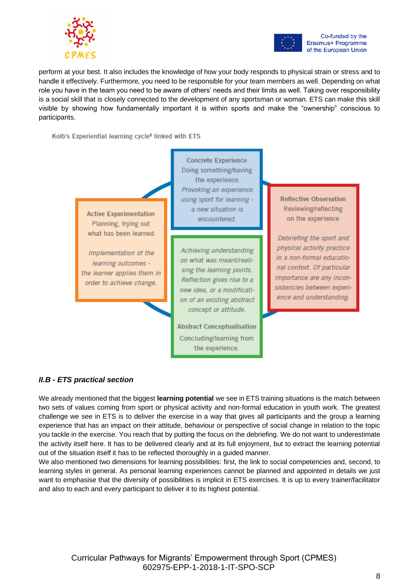



Co-funded by the Erasmus+ Programme of the European Union

perform at your best. It also includes the knowledge of how your body responds to physical strain or stress and to handle it effectively. Furthermore, you need to be responsible for your team members as well. Depending on what role you have in the team you need to be aware of others' needs and their limits as well. Taking over responsibility is a social skill that is closely connected to the development of any sportsman or woman. ETS can make this skill visible by showing how fundamentally important it is within sports and make the "ownership" conscious to participants.

Kolb's Experiential learning cycle<sup>8</sup> linked with ETS



#### *II.B - ETS practical section*

We already mentioned that the biggest **learning potential** we see in ETS training situations is the match between two sets of values coming from sport or physical activity and non-formal education in youth work. The greatest challenge we see in ETS is to deliver the exercise in a way that gives all participants and the group a learning experience that has an impact on their attitude, behaviour or perspective of social change in relation to the topic you tackle in the exercise. You reach that by putting the focus on the debriefing. We do not want to underestimate the activity itself here. It has to be delivered clearly and at its full enjoyment, but to extract the learning potential out of the situation itself it has to be reflected thoroughly in a guided manner.

Concluding/learning from the experience.

We also mentioned two dimensions for learning possibilities: first, the link to social competencies and, second, to learning styles in general. As personal learning experiences cannot be planned and appointed in details we just want to emphasise that the diversity of possibilities is implicit in ETS exercises. It is up to every trainer/facilitator and also to each and every participant to deliver it to its highest potential.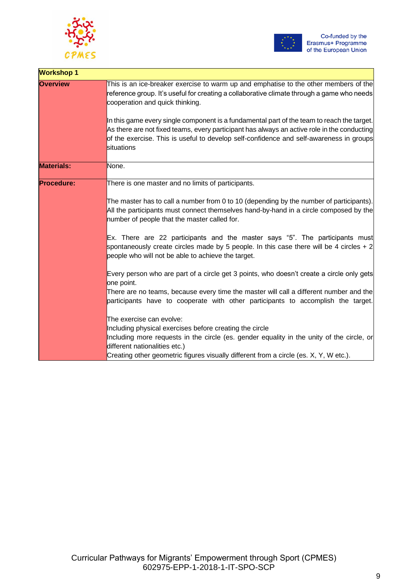



| <b>Workshop 1</b> |                                                                                                                                                                                                                                                                                                                                                                                                                                                                                                                             |
|-------------------|-----------------------------------------------------------------------------------------------------------------------------------------------------------------------------------------------------------------------------------------------------------------------------------------------------------------------------------------------------------------------------------------------------------------------------------------------------------------------------------------------------------------------------|
| <b>Overview</b>   | This is an ice-breaker exercise to warm up and emphatise to the other members of the<br>reference group. It's useful for creating a collaborative climate through a game who needs<br>cooperation and quick thinking.<br>In this game every single component is a fundamental part of the team to reach the target.<br>As there are not fixed teams, every participant has always an active role in the conducting<br>of the exercise. This is useful to develop self-confidence and self-awareness in groups<br>situations |
|                   |                                                                                                                                                                                                                                                                                                                                                                                                                                                                                                                             |
| <b>Materials:</b> | None.                                                                                                                                                                                                                                                                                                                                                                                                                                                                                                                       |
| <b>Procedure:</b> | There is one master and no limits of participants.                                                                                                                                                                                                                                                                                                                                                                                                                                                                          |
|                   | The master has to call a number from 0 to 10 (depending by the number of participants).<br>All the participants must connect themselves hand-by-hand in a circle composed by the<br>number of people that the master called for.                                                                                                                                                                                                                                                                                            |
|                   | Ex. There are 22 participants and the master says "5". The participants must<br>spontaneously create circles made by 5 people. In this case there will be 4 circles $+2$<br>people who will not be able to achieve the target.                                                                                                                                                                                                                                                                                              |
|                   | Every person who are part of a circle get 3 points, who doesn't create a circle only gets<br>one point.                                                                                                                                                                                                                                                                                                                                                                                                                     |
|                   | There are no teams, because every time the master will call a different number and the<br>participants have to cooperate with other participants to accomplish the target.                                                                                                                                                                                                                                                                                                                                                  |
|                   | The exercise can evolve:<br>Including physical exercises before creating the circle<br>Including more requests in the circle (es. gender equality in the unity of the circle, or<br>different nationalities etc.)<br>Creating other geometric figures visually different from a circle (es. X, Y, W etc.).                                                                                                                                                                                                                  |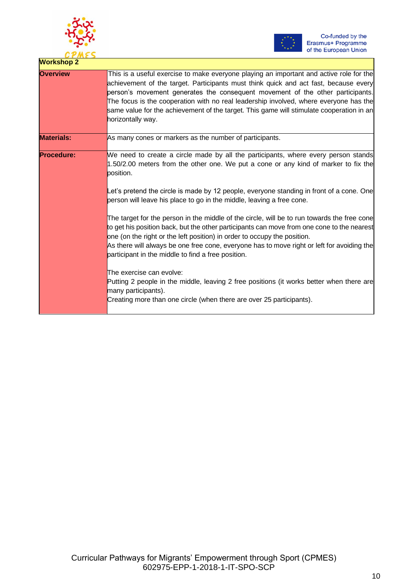



| <b>Workshop 2</b> |                                                                                                                                                                                                                                                                                                                                                                                                                                                                                                                                                                                                                                                                                                                                                                                                                                                                                                                                                                                                                 |
|-------------------|-----------------------------------------------------------------------------------------------------------------------------------------------------------------------------------------------------------------------------------------------------------------------------------------------------------------------------------------------------------------------------------------------------------------------------------------------------------------------------------------------------------------------------------------------------------------------------------------------------------------------------------------------------------------------------------------------------------------------------------------------------------------------------------------------------------------------------------------------------------------------------------------------------------------------------------------------------------------------------------------------------------------|
| <b>Overview</b>   | This is a useful exercise to make everyone playing an important and active role for the<br>achievement of the target. Participants must think quick and act fast, because every<br>person's movement generates the consequent movement of the other participants.<br>The focus is the cooperation with no real leadership involved, where everyone has the<br>same value for the achievement of the target. This game will stimulate cooperation in an<br>horizontally way.                                                                                                                                                                                                                                                                                                                                                                                                                                                                                                                                     |
| <b>Materials:</b> | As many cones or markers as the number of participants.                                                                                                                                                                                                                                                                                                                                                                                                                                                                                                                                                                                                                                                                                                                                                                                                                                                                                                                                                         |
| <b>Procedure:</b> | We need to create a circle made by all the participants, where every person stands<br>1.50/2.00 meters from the other one. We put a cone or any kind of marker to fix the<br>position.<br>Let's pretend the circle is made by 12 people, everyone standing in front of a cone. One<br>person will leave his place to go in the middle, leaving a free cone.<br>The target for the person in the middle of the circle, will be to run towards the free cone<br>to get his position back, but the other participants can move from one cone to the nearest<br>one (on the right or the left position) in order to occupy the position.<br>As there will always be one free cone, everyone has to move right or left for avoiding the<br>participant in the middle to find a free position.<br>The exercise can evolve:<br>Putting 2 people in the middle, leaving 2 free positions (it works better when there are<br>many participants).<br>Creating more than one circle (when there are over 25 participants). |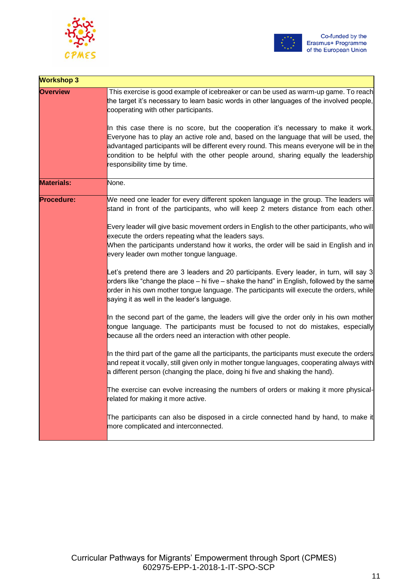



| <b>Workshop 3</b> |                                                                                                                                                                                                                                                                                                                                                                                                                                                                                                                                                                                                                                |
|-------------------|--------------------------------------------------------------------------------------------------------------------------------------------------------------------------------------------------------------------------------------------------------------------------------------------------------------------------------------------------------------------------------------------------------------------------------------------------------------------------------------------------------------------------------------------------------------------------------------------------------------------------------|
| <b>Overview</b>   | This exercise is good example of icebreaker or can be used as warm-up game. To reach<br>the target it's necessary to learn basic words in other languages of the involved people,<br>cooperating with other participants.<br>In this case there is no score, but the cooperation it's necessary to make it work.<br>Everyone has to play an active role and, based on the language that will be used, the<br>advantaged participants will be different every round. This means everyone will be in the<br>condition to be helpful with the other people around, sharing equally the leadership<br>responsibility time by time. |
| <b>Materials:</b> | None.                                                                                                                                                                                                                                                                                                                                                                                                                                                                                                                                                                                                                          |
| <b>Procedure:</b> | We need one leader for every different spoken language in the group. The leaders will<br>stand in front of the participants, who will keep 2 meters distance from each other.                                                                                                                                                                                                                                                                                                                                                                                                                                                  |
|                   | Every leader will give basic movement orders in English to the other participants, who will<br>execute the orders repeating what the leaders says.<br>When the participants understand how it works, the order will be said in English and in<br>every leader own mother tongue language.                                                                                                                                                                                                                                                                                                                                      |
|                   | Let's pretend there are 3 leaders and 20 participants. Every leader, in turn, will say 3<br>orders like "change the place – hi five – shake the hand" in English, followed by the same<br>order in his own mother tongue language. The participants will execute the orders, while<br>saying it as well in the leader's language.                                                                                                                                                                                                                                                                                              |
|                   | In the second part of the game, the leaders will give the order only in his own mother<br>tongue language. The participants must be focused to not do mistakes, especially<br>because all the orders need an interaction with other people.                                                                                                                                                                                                                                                                                                                                                                                    |
|                   | In the third part of the game all the participants, the participants must execute the orders<br>and repeat it vocally, still given only in mother tongue languages, cooperating always with<br>a different person (changing the place, doing hi five and shaking the hand).                                                                                                                                                                                                                                                                                                                                                    |
|                   | The exercise can evolve increasing the numbers of orders or making it more physical-<br>related for making it more active.                                                                                                                                                                                                                                                                                                                                                                                                                                                                                                     |
|                   | The participants can also be disposed in a circle connected hand by hand, to make it<br>more complicated and interconnected.                                                                                                                                                                                                                                                                                                                                                                                                                                                                                                   |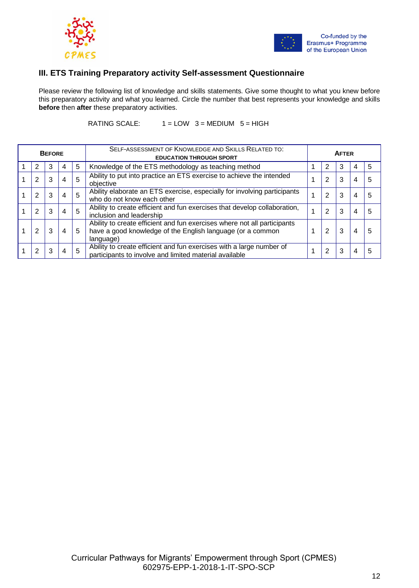



### **III. ETS Training Preparatory activity Self-assessment Questionnaire**

Please review the following list of knowledge and skills statements. Give some thought to what you knew before this preparatory activity and what you learned. Circle the number that best represents your knowledge and skills **before** then **after** these preparatory activities.

RATING SCALE:  $1 = LOW$  3 = MEDIUM 5 = HIGH

|   | <b>BEFORE</b> |    |   | SELF-ASSESSMENT OF KNOWLEDGE AND SKILLS RELATED TO:<br><b>EDUCATION THROUGH SPORT</b>                                                               | <b>AFTER</b> |   |   |   |   |  |  |  |
|---|---------------|----|---|-----------------------------------------------------------------------------------------------------------------------------------------------------|--------------|---|---|---|---|--|--|--|
| 2 |               | 4  | 5 | Knowledge of the ETS methodology as teaching method                                                                                                 |              |   | 3 |   | 5 |  |  |  |
| 2 |               | 4  | 5 | Ability to put into practice an ETS exercise to achieve the intended<br>objective                                                                   |              | 2 | 3 | 4 | 5 |  |  |  |
| 2 |               | 4  | 5 | Ability elaborate an ETS exercise, especially for involving participants<br>who do not know each other                                              |              | 2 | 3 | 4 | 5 |  |  |  |
| 2 |               | -4 | 5 | Ability to create efficient and fun exercises that develop collaboration,<br>inclusion and leadership                                               |              | 2 | 3 | 4 | 5 |  |  |  |
| 2 |               | 4  | 5 | Ability to create efficient and fun exercises where not all participants<br>have a good knowledge of the English language (or a common<br>language) |              | 2 | 3 | 4 | 5 |  |  |  |
| 2 |               | 4  | 5 | Ability to create efficient and fun exercises with a large number of<br>participants to involve and limited material available                      |              | 2 | 3 | 4 | 5 |  |  |  |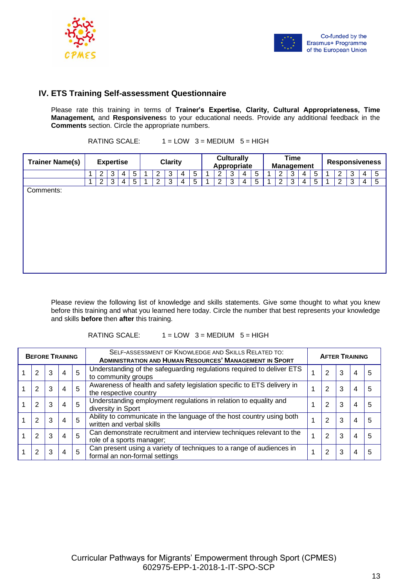



#### **IV. ETS Training Self-assessment Questionnaire**

Please rate this training in terms of **Trainer's Expertise, Clarity, Cultural Appropriateness, Time Management,** and **Responsivenes**s to your educational needs. Provide any additional feedback in the **Comments** section. Circle the appropriate numbers.

RATING SCALE:  $1 = LOW$  3 = MEDIUM 5 = HIGH

| <b>Trainer Name(s)</b> | <b>Expertise</b> |                |   |   | <b>Clarity</b>  |  |   |   | <b>Culturally</b><br>Appropriate |                |  |                | <b>Time</b><br><b>Management</b> |   |   |  |                | <b>Responsiveness</b> |   |   |  |                |   |   |   |
|------------------------|------------------|----------------|---|---|-----------------|--|---|---|----------------------------------|----------------|--|----------------|----------------------------------|---|---|--|----------------|-----------------------|---|---|--|----------------|---|---|---|
|                        |                  | 2              | 3 | 4 | 5               |  | 2 | 3 | 4                                | 5              |  | 2              | 3                                | 4 | 5 |  | 2              | 3                     | 4 | 5 |  | 2              | 3 | 4 | 5 |
|                        | ٠                | $\overline{2}$ | 3 | 4 | $5\phantom{.0}$ |  | 2 | 3 | 4                                | $\overline{5}$ |  | $\overline{2}$ | 3                                | 4 | 5 |  | $\overline{2}$ | 3                     | 4 | 5 |  | $\overline{2}$ | 3 | 4 | 5 |
| Comments:              |                  |                |   |   |                 |  |   |   |                                  |                |  |                |                                  |   |   |  |                |                       |   |   |  |                |   |   |   |

Please review the following list of knowledge and skills statements. Give some thought to what you knew before this training and what you learned here today. Circle the number that best represents your knowledge and skills **before** then **after** this training.

#### RATING SCALE:  $1 = LOW$  3 = MEDIUM  $5 = HIGH$

| <b>BEFORE TRAINING</b> |   |                |   | SELF-ASSESSMENT OF KNOWLEDGE AND SKILLS RELATED TO:<br><b>ADMINISTRATION AND HUMAN RESOURCES' MANAGEMENT IN SPORT</b> | <b>AFTER TRAINING</b> |   |   |   |   |  |  |  |
|------------------------|---|----------------|---|-----------------------------------------------------------------------------------------------------------------------|-----------------------|---|---|---|---|--|--|--|
| $\overline{2}$         | 3 | $\overline{4}$ | 5 | Understanding of the safeguarding regulations required to deliver ETS<br>to community groups                          |                       | 2 | 3 | 4 | 5 |  |  |  |
| 2                      | 3 | $\overline{4}$ | 5 | Awareness of health and safety legislation specific to ETS delivery in<br>the respective country                      |                       | 2 | 3 | 4 | 5 |  |  |  |
| 2                      | 3 | $\overline{4}$ | 5 | Understanding employment regulations in relation to equality and<br>diversity in Sport                                |                       | 2 | 3 | 4 | 5 |  |  |  |
| 2                      | 3 | $\overline{4}$ | 5 | Ability to communicate in the language of the host country using both<br>written and verbal skills                    |                       | 2 | 3 | 4 | 5 |  |  |  |
| 2                      | 3 | $\overline{4}$ | 5 | Can demonstrate recruitment and interview techniques relevant to the<br>role of a sports manager;                     |                       | 2 | 3 | 4 | 5 |  |  |  |
| 2                      | 3 | $\overline{4}$ | 5 | Can present using a variety of techniques to a range of audiences in<br>formal an non-formal settings                 |                       | 2 | 3 | 4 | 5 |  |  |  |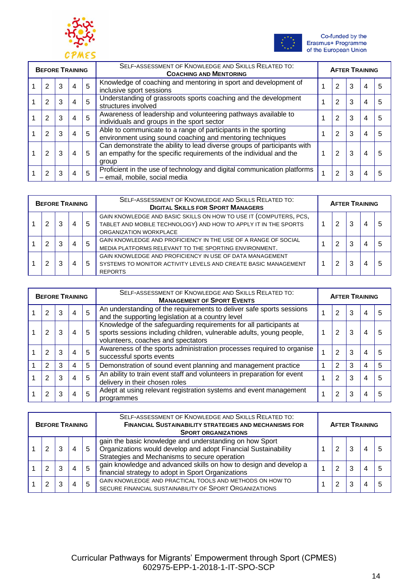



| <b>BEFORE TRAINING</b> |   |                |   | SELF-ASSESSMENT OF KNOWLEDGE AND SKILLS RELATED TO:<br><b>COACHING AND MENTORING</b>                                                                   | <b>AFTER TRAINING</b> |   |   |   |   |  |  |  |
|------------------------|---|----------------|---|--------------------------------------------------------------------------------------------------------------------------------------------------------|-----------------------|---|---|---|---|--|--|--|
| 2                      | 3 | $\overline{4}$ | 5 | Knowledge of coaching and mentoring in sport and development of<br>inclusive sport sessions                                                            |                       | 2 | 3 | 4 | 5 |  |  |  |
| 2                      | 3 | 4              | 5 | Understanding of grassroots sports coaching and the development<br>structures involved                                                                 |                       | 2 | 3 | 4 | 5 |  |  |  |
| 2                      | 3 | 4              | 5 | Awareness of leadership and volunteering pathways available to<br>individuals and groups in the sport sector                                           |                       | 2 | 3 | 4 | 5 |  |  |  |
| 2                      | 3 | 4              | 5 | Able to communicate to a range of participants in the sporting<br>environment using sound coaching and mentoring techniques                            |                       | 2 | 3 | 4 | 5 |  |  |  |
| 2                      | 3 | 4              | 5 | Can demonstrate the ability to lead diverse groups of participants with<br>an empathy for the specific requirements of the individual and the<br>group |                       | 2 | 3 | 4 | 5 |  |  |  |
| 2                      |   | 4              | 5 | Proficient in the use of technology and digital communication platforms<br>- email, mobile, social media                                               |                       | 2 | 3 | 4 | 5 |  |  |  |

| <b>BEFORE TRAINING</b> |   |  |   |   | SELF-ASSESSMENT OF KNOWLEDGE AND SKILLS RELATED TO:<br><b>DIGITAL SKILLS FOR SPORT MANAGERS</b>                                                                | <b>AFTER TRAINING</b> |   |   |   |   |  |  |  |
|------------------------|---|--|---|---|----------------------------------------------------------------------------------------------------------------------------------------------------------------|-----------------------|---|---|---|---|--|--|--|
|                        | 2 |  | 4 | 5 | GAIN KNOWLEDGE AND BASIC SKILLS ON HOW TO USE IT (COMPUTERS, PCS,<br>TABLET AND MOBILE TECHNOLOGY) AND HOW TO APPLY IT IN THE SPORTS<br>ORGANIZATION WORKPLACE |                       | 2 | 3 | 4 | 5 |  |  |  |
|                        | 2 |  | 4 | 5 | GAIN KNOWLEDGE AND PROFICIENCY IN THE USE OF A RANGE OF SOCIAL<br>MEDIA PLATFORMS RELEVANT TO THE SPORTING ENVIRONMENT.                                        |                       | 2 | 3 | 4 | 5 |  |  |  |
|                        | 2 |  | 4 | 5 | GAIN KNOWLEDGE AND PROFICIENCY IN USE OF DATA MANAGEMENT<br>SYSTEMS TO MONITOR ACTIVITY LEVELS AND CREATE BASIC MANAGEMENT<br><b>REPORTS</b>                   |                       | ာ | 3 | 4 | 5 |  |  |  |

| <b>BEFORE TRAINING</b> |  |                |   | SELF-ASSESSMENT OF KNOWLEDGE AND SKILLS RELATED TO:<br><b>MANAGEMENT OF SPORT EVENTS</b>                                                                                         | <b>AFTER TRAINING</b> |   |   |   |   |  |  |  |
|------------------------|--|----------------|---|----------------------------------------------------------------------------------------------------------------------------------------------------------------------------------|-----------------------|---|---|---|---|--|--|--|
| 2                      |  | 4              | 5 | An understanding of the requirements to deliver safe sports sessions<br>and the supporting legislation at a country level                                                        |                       | 2 | 3 | 4 | 5 |  |  |  |
| 2                      |  | 4              | 5 | Knowledge of the safeguarding requirements for all participants at<br>sports sessions including children, vulnerable adults, young people,<br>volunteers, coaches and spectators |                       | 2 | 3 | 4 | 5 |  |  |  |
| 2                      |  | 4              | 5 | Awareness of the sports administration processes required to organise<br>successful sports events                                                                                |                       | 2 | 3 | 4 | 5 |  |  |  |
| 2                      |  | 4              | 5 | Demonstration of sound event planning and management practice                                                                                                                    |                       | 2 | 3 | 4 | 5 |  |  |  |
| 2                      |  | $\overline{4}$ | 5 | An ability to train event staff and volunteers in preparation for event<br>delivery in their chosen roles                                                                        |                       | 2 | 3 | 4 | 5 |  |  |  |
| 2                      |  | 4              | 5 | Adept at using relevant registration systems and event management<br>programmes                                                                                                  |                       | 2 | 3 | 4 | 5 |  |  |  |

| <b>BEFORE TRAINING</b> |   |  |   |    | SELF-ASSESSMENT OF KNOWLEDGE AND SKILLS RELATED TO:<br><b>FINANCIAL SUSTAINABILITY STRATEGIES AND MECHANISMS FOR</b><br><b>SPORT ORGANIZATIONS</b>                         | <b>AFTER TRAINING</b> |  |   |  |  |  |  |
|------------------------|---|--|---|----|----------------------------------------------------------------------------------------------------------------------------------------------------------------------------|-----------------------|--|---|--|--|--|--|
|                        | 2 |  | 4 | -5 | gain the basic knowledge and understanding on how Sport<br>Organizations would develop and adopt Financial Sustainability<br>Strategies and Mechanisms to secure operation |                       |  | 3 |  |  |  |  |
|                        | 2 |  | 4 | 5  | gain knowledge and advanced skills on how to design and develop a<br>financial strategy to adopt in Sport Organizations                                                    |                       |  | 3 |  |  |  |  |
|                        | 2 |  | 4 | 5  | GAIN KNOWLEDGE AND PRACTICAL TOOLS AND METHODS ON HOW TO<br>SECURE FINANCIAL SUSTAINABILITY OF SPORT ORGANIZATIONS                                                         |                       |  |   |  |  |  |  |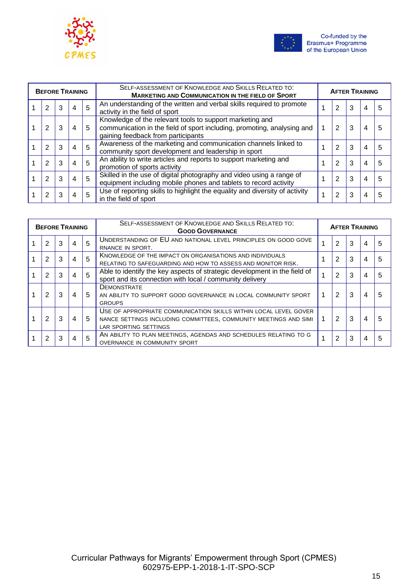



|   | <b>BEFORE TRAINING</b> |                |   | SELF-ASSESSMENT OF KNOWLEDGE AND SKILLS RELATED TO:<br><b>MARKETING AND COMMUNICATION IN THE FIELD OF SPORT</b>                                                           | <b>AFTER TRAINING</b> |   |   |   |   |  |  |  |
|---|------------------------|----------------|---|---------------------------------------------------------------------------------------------------------------------------------------------------------------------------|-----------------------|---|---|---|---|--|--|--|
| 2 | 3                      | $\overline{4}$ | 5 | An understanding of the written and verbal skills required to promote<br>activity in the field of sport                                                                   |                       | 2 | 3 | 4 | 5 |  |  |  |
| 2 |                        | 4              | 5 | Knowledge of the relevant tools to support marketing and<br>communication in the field of sport including, promoting, analysing and<br>gaining feedback from participants |                       | 2 | 3 | 4 | 5 |  |  |  |
| 2 |                        | 4              | 5 | Awareness of the marketing and communication channels linked to<br>community sport development and leadership in sport                                                    |                       | 2 | 3 | 4 | 5 |  |  |  |
| 2 |                        | 4              | 5 | An ability to write articles and reports to support marketing and<br>promotion of sports activity                                                                         |                       | 2 | 3 | 4 | 5 |  |  |  |
| 2 |                        | $\overline{4}$ | 5 | Skilled in the use of digital photography and video using a range of<br>equipment including mobile phones and tablets to record activity                                  |                       | 2 | 3 | 4 | 5 |  |  |  |
| 2 |                        | 4              | 5 | Use of reporting skills to highlight the equality and diversity of activity<br>in the field of sport                                                                      |                       | 2 | 3 | 4 | 5 |  |  |  |

| <b>BEFORE TRAINING</b> |   |   |                |   | SELF-ASSESSMENT OF KNOWLEDGE AND SKILLS RELATED TO:<br><b>GOOD GOVERNANCE</b>                                                                                 | <b>AFTER TRAINING</b> |   |   |   |   |
|------------------------|---|---|----------------|---|---------------------------------------------------------------------------------------------------------------------------------------------------------------|-----------------------|---|---|---|---|
|                        | 2 | 3 | $\overline{4}$ | 5 | UNDERSTANDING OF EU AND NATIONAL LEVEL PRINCIPLES ON GOOD GOVE<br>RNANCE IN SPORT.                                                                            |                       | 2 | 3 | 4 | 5 |
|                        | 2 | 3 | 4              | 5 | KNOWLEDGE OF THE IMPACT ON ORGANISATIONS AND INDIVIDUALS<br>RELATING TO SAFEGUARDING AND HOW TO ASSESS AND MONITOR RISK.                                      |                       | 2 | 3 | 4 | 5 |
|                        | 2 |   | $\overline{4}$ | 5 | Able to identify the key aspects of strategic development in the field of<br>sport and its connection with local / community delivery                         |                       | 2 | 3 | 4 | 5 |
|                        | 2 | 3 | 4              | 5 | <b>DEMONSTRATE</b><br>AN ABILITY TO SUPPORT GOOD GOVERNANCE IN LOCAL COMMUNITY SPORT<br><b>GROUPS</b>                                                         |                       | 2 | 3 | 4 | 5 |
|                        | 2 |   | 4              | 5 | USE OF APPROPRIATE COMMUNICATION SKILLS WITHIN LOCAL LEVEL GOVER<br>NANCE SETTINGS INCLUDING COMMITTEES, COMMUNITY MEETINGS AND SIMI<br>LAR SPORTING SETTINGS |                       | 2 | 3 | 4 | 5 |
|                        | 2 | 3 | 4              | 5 | AN ABILITY TO PLAN MEETINGS, AGENDAS AND SCHEDULES RELATING TO G<br>OVERNANCE IN COMMUNITY SPORT                                                              |                       | 2 | 3 | 4 | 5 |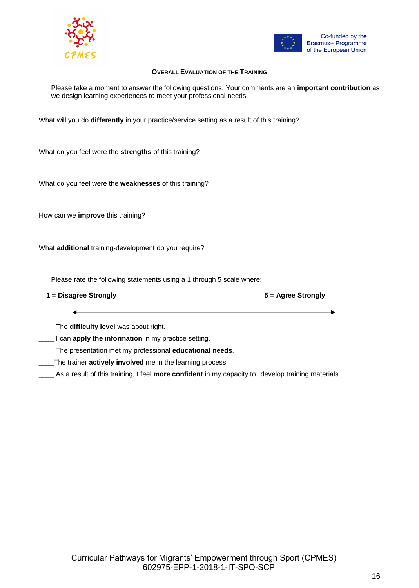



#### **OVERALL EVALUATION OF THE TRAINING**

Please take a moment to answer the following questions. Your comments are an **important contribution** as we design learning experiences to meet your professional needs.

What will you do **differently** in your practice/service setting as a result of this training?

What do you feel were the **strengths** of this training?

What do you feel were the **weaknesses** of this training?

How can we **improve** this training?

What **additional** training-development do you require?

Please rate the following statements using a 1 through 5 scale where:

**1 = Disagree Strongly 5 = Agree Strongly**

\_\_\_\_ The **difficulty level** was about right.

\_\_\_\_ I can **apply the information** in my practice setting.

\_\_\_\_ The presentation met my professional **educational needs**.

- \_\_\_\_The trainer **actively involved** me in the learning process.
- \_\_\_\_ As a result of this training, I feel **more confident** in my capacity to develop training materials.